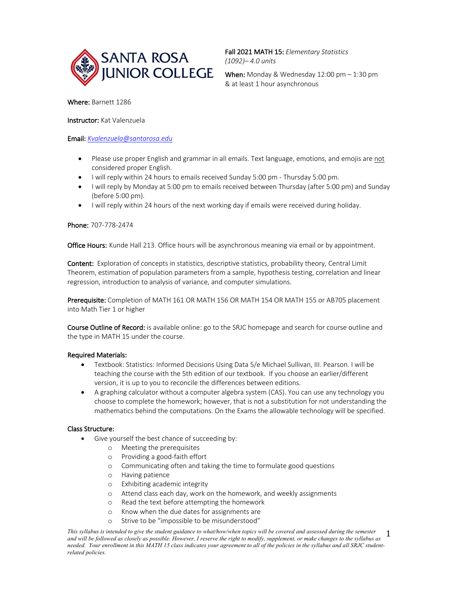

Fall 2021 MATH 15: *Elementary Statistics (1092)– 4.0 units*

& at least 1 hour asynchronous

Where: Barnett 1286

# Instructor: Kat Valenzuela

# Email: *Kvalenzuela@santarosa.edu*

- Please use proper English and grammar in all emails. Text language, emotions, and emojis are not considered proper English.
- I will reply within 24 hours to emails received Sunday 5:00 pm Thursday 5:00 pm.
- I will reply by Monday at 5:00 pm to emails received between Thursday (after 5:00 pm) and Sunday (before 5:00 pm).
- I will reply within 24 hours of the next working day if emails were received during holiday.

# Phone: 707-778-2474

Office Hours: Kunde Hall 213. Office hours will be asynchronous meaning via email or by appointment.

Content: Exploration of concepts in statistics, descriptive statistics, probability theory, Central Limit Theorem, estimation of population parameters from a sample, hypothesis testing, correlation and linear regression, introduction to analysis of variance, and computer simulations.

Prerequisite: Completion of MATH 161 OR MATH 156 OR MATH 154 OR MATH 155 or AB705 placement into Math Tier 1 or higher

Course Outline of Record: is available online: go to the SRJC homepage and search for course outline and the type in MATH 15 under the course.

# Required Materials:

- Textbook: Statistics: Informed Decisions Using Data 5/e Michael Sullivan, III. Pearson. I will be teaching the course with the 5th edition of our textbook. If you choose an earlier/different version, it is up to you to reconcile the differences between editions.
- A graphing calculator without a computer algebra system (CAS). You can use any technology you choose to complete the homework; however, that is not a substitution for not understanding the mathematics behind the computations. On the Exams the allowable technology will be specified.

# Class Structure:

- Give yourself the best chance of succeeding by:
	- o Meeting the prerequisites
	- o Providing a good-faith effort
	- o Communicating often and taking the time to formulate good questions
	- o Having patience
	- o Exhibiting academic integrity
	- o Attend class each day, work on the homework, and weekly assignments
	- o Read the text before attempting the homework
	- o Know when the due dates for assignments are
	- o Strive to be "impossible to be misunderstood"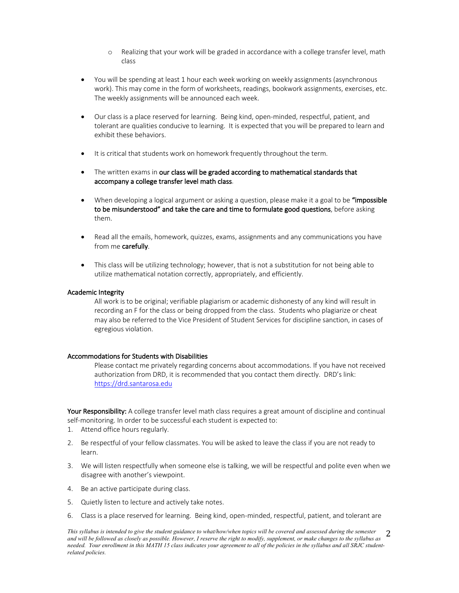- o Realizing that your work will be graded in accordance with a college transfer level, math class
- You will be spending at least 1 hour each week working on weekly assignments (asynchronous work). This may come in the form of worksheets, readings, bookwork assignments, exercises, etc. The weekly assignments will be announced each week.
- Our class is a place reserved for learning. Being kind, open-minded, respectful, patient, and tolerant are qualities conducive to learning. It is expected that you will be prepared to learn and exhibit these behaviors.
- It is critical that students work on homework frequently throughout the term.
- The written exams in our class will be graded according to mathematical standards that accompany a college transfer level math class.
- When developing a logical argument or asking a question, please make it a goal to be "impossible" to be misunderstood" and take the care and time to formulate good questions, before asking them.
- Read all the emails, homework, quizzes, exams, assignments and any communications you have from me carefully.
- This class will be utilizing technology; however, that is not a substitution for not being able to utilize mathematical notation correctly, appropriately, and efficiently.

## Academic Integrity

All work is to be original; verifiable plagiarism or academic dishonesty of any kind will result in recording an F for the class or being dropped from the class. Students who plagiarize or cheat may also be referred to the Vice President of Student Services for discipline sanction, in cases of egregious violation.

## Accommodations for Students with Disabilities

Please contact me privately regarding concerns about accommodations. If you have not received authorization from DRD, it is recommended that you contact them directly. DRD's link: https://drd.santarosa.edu

Your Responsibility: A college transfer level math class requires a great amount of discipline and continual self-monitoring. In order to be successful each student is expected to:

1. Attend office hours regularly.

- 2. Be respectful of your fellow classmates. You will be asked to leave the class if you are not ready to learn.
- 3. We will listen respectfully when someone else is talking, we will be respectful and polite even when we disagree with another's viewpoint.
- 4. Be an active participate during class.
- 5. Quietly listen to lecture and actively take notes.
- 6. Class is a place reserved for learning. Being kind, open-minded, respectful, patient, and tolerant are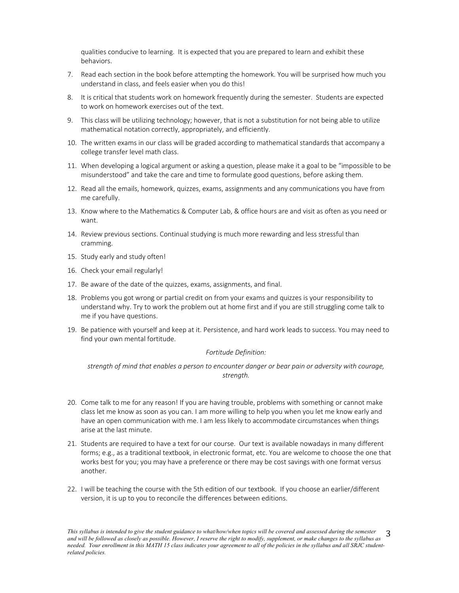qualities conducive to learning. It is expected that you are prepared to learn and exhibit these behaviors.

- 7. Read each section in the book before attempting the homework. You will be surprised how much you understand in class, and feels easier when you do this!
- 8. It is critical that students work on homework frequently during the semester. Students are expected to work on homework exercises out of the text.
- 9. This class will be utilizing technology; however, that is not a substitution for not being able to utilize mathematical notation correctly, appropriately, and efficiently.
- 10. The written exams in our class will be graded according to mathematical standards that accompany a college transfer level math class.
- 11. When developing a logical argument or asking a question, please make it a goal to be "impossible to be misunderstood" and take the care and time to formulate good questions, before asking them.
- 12. Read all the emails, homework, quizzes, exams, assignments and any communications you have from me carefully.
- 13. Know where to the Mathematics & Computer Lab, & office hours are and visit as often as you need or want.
- 14. Review previous sections. Continual studying is much more rewarding and less stressful than cramming.
- 15. Study early and study often!
- 16. Check your email regularly!
- 17. Be aware of the date of the quizzes, exams, assignments, and final.
- 18. Problems you got wrong or partial credit on from your exams and quizzes is your responsibility to understand why. Try to work the problem out at home first and if you are still struggling come talk to me if you have questions.
- 19. Be patience with yourself and keep at it. Persistence, and hard work leads to success. You may need to find your own mental fortitude.

## *Fortitude Definition:*

*strength of mind that enables a person to encounter danger or bear pain or adversity with courage, strength.*

- 20. Come talk to me for any reason! If you are having trouble, problems with something or cannot make class let me know as soon as you can. I am more willing to help you when you let me know early and have an open communication with me. I am less likely to accommodate circumstances when things arise at the last minute.
- 21. Students are required to have a text for our course. Our text is available nowadays in many different forms; e.g., as a traditional textbook, in electronic format, etc. You are welcome to choose the one that works best for you; you may have a preference or there may be cost savings with one format versus another.
- 22. I will be teaching the course with the 5th edition of our textbook. If you choose an earlier/different version, it is up to you to reconcile the differences between editions.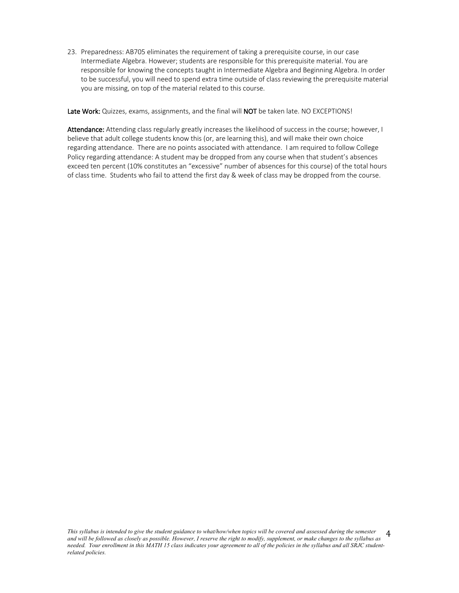23. Preparedness: AB705 eliminates the requirement of taking a prerequisite course, in our case Intermediate Algebra. However; students are responsible for this prerequisite material. You are responsible for knowing the concepts taught in Intermediate Algebra and Beginning Algebra. In order to be successful, you will need to spend extra time outside of class reviewing the prerequisite material you are missing, on top of the material related to this course.

Late Work: Quizzes, exams, assignments, and the final will NOT be taken late. NO EXCEPTIONS!

Attendance: Attending class regularly greatly increases the likelihood of success in the course; however, I believe that adult college students know this (or, are learning this), and will make their own choice regarding attendance. There are no points associated with attendance. I am required to follow College Policy regarding attendance: A student may be dropped from any course when that student's absences exceed ten percent (10% constitutes an "excessive" number of absences for this course) of the total hours of class time. Students who fail to attend the first day & week of class may be dropped from the course.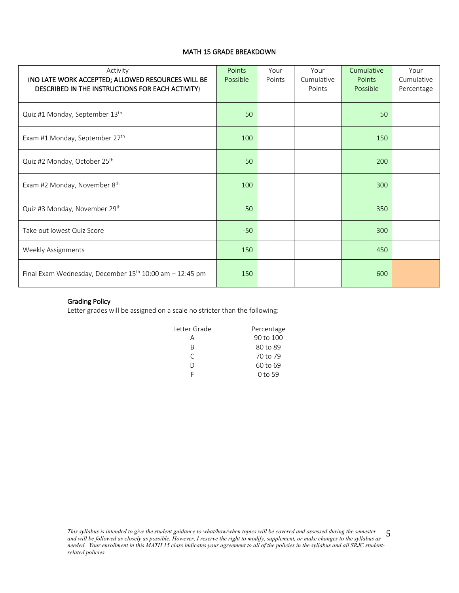# MATH 15 GRADE BREAKDOWN

| Activity<br>(NO LATE WORK ACCEPTED; ALLOWED RESOURCES WILL BE<br>DESCRIBED IN THE INSTRUCTIONS FOR EACH ACTIVITY) | Points<br>Possible | Your<br>Points | Your<br>Cumulative<br>Points | Cumulative<br><b>Points</b><br>Possible | Your<br>Cumulative<br>Percentage |
|-------------------------------------------------------------------------------------------------------------------|--------------------|----------------|------------------------------|-----------------------------------------|----------------------------------|
| Quiz #1 Monday, September 13th                                                                                    | 50                 |                |                              | 50                                      |                                  |
| Exam #1 Monday, September 27th                                                                                    | 100                |                |                              | 150                                     |                                  |
| Quiz #2 Monday, October 25th                                                                                      | 50                 |                |                              | 200                                     |                                  |
| Exam #2 Monday, November 8 <sup>th</sup>                                                                          | 100                |                |                              | 300                                     |                                  |
| Quiz #3 Monday, November 29th                                                                                     | 50                 |                |                              | 350                                     |                                  |
| Take out lowest Quiz Score                                                                                        | $-50$              |                |                              | 300                                     |                                  |
| <b>Weekly Assignments</b>                                                                                         | 150                |                |                              | 450                                     |                                  |
| Final Exam Wednesday, December $15^{th}$ 10:00 am - 12:45 pm                                                      | 150                |                |                              | 600                                     |                                  |

# Grading Policy

Letter grades will be assigned on a scale no stricter than the following:

| Letter Grade | Percentage |
|--------------|------------|
| д            | 90 to 100  |
| R            | 80 to 89   |
| $\subset$    | 70 to 79   |
| I١           | 60 to 69   |
|              | 0 to 59    |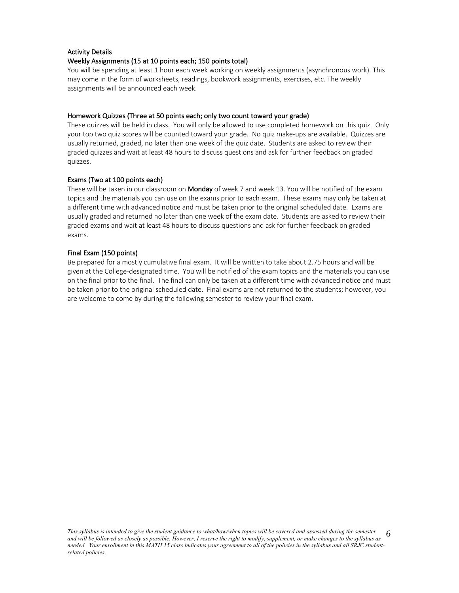# Activity Details

## Weekly Assignments (15 at 10 points each; 150 points total)

You will be spending at least 1 hour each week working on weekly assignments (asynchronous work). This may come in the form of worksheets, readings, bookwork assignments, exercises, etc. The weekly assignments will be announced each week.

# Homework Quizzes (Three at 50 points each; only two count toward your grade)

These quizzes will be held in class. You will only be allowed to use completed homework on this quiz. Only your top two quiz scores will be counted toward your grade. No quiz make-ups are available. Quizzes are usually returned, graded, no later than one week of the quiz date. Students are asked to review their graded quizzes and wait at least 48 hours to discuss questions and ask for further feedback on graded quizzes.

# Exams (Two at 100 points each)

These will be taken in our classroom on Monday of week 7 and week 13. You will be notified of the exam topics and the materials you can use on the exams prior to each exam. These exams may only be taken at a different time with advanced notice and must be taken prior to the original scheduled date. Exams are usually graded and returned no later than one week of the exam date. Students are asked to review their graded exams and wait at least 48 hours to discuss questions and ask for further feedback on graded exams.

# Final Exam (150 points)

Be prepared for a mostly cumulative final exam. It will be written to take about 2.75 hours and will be given at the College-designated time. You will be notified of the exam topics and the materials you can use on the final prior to the final. The final can only be taken at a different time with advanced notice and must be taken prior to the original scheduled date. Final exams are not returned to the students; however, you are welcome to come by during the following semester to review your final exam.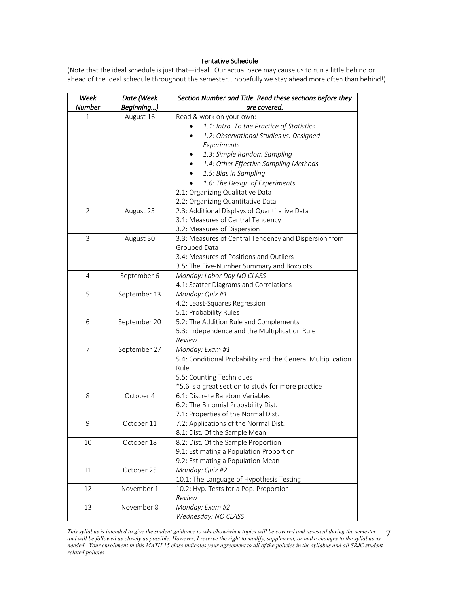## Tentative Schedule

(Note that the ideal schedule is just that—ideal. Our actual pace may cause us to run a little behind or ahead of the ideal schedule throughout the semester… hopefully we stay ahead more often than behind!)

| Week           | Date (Week   | Section Number and Title. Read these sections before they   |
|----------------|--------------|-------------------------------------------------------------|
| Number         | Beginning)   | are covered.                                                |
| 1              | August 16    | Read & work on your own:                                    |
|                |              | 1.1: Intro. To the Practice of Statistics                   |
|                |              | 1.2: Observational Studies vs. Designed                     |
|                |              | Experiments                                                 |
|                |              | 1.3: Simple Random Sampling                                 |
|                |              | 1.4: Other Effective Sampling Methods                       |
|                |              | 1.5: Bias in Sampling                                       |
|                |              | 1.6: The Design of Experiments                              |
|                |              | 2.1: Organizing Qualitative Data                            |
|                |              | 2.2: Organizing Quantitative Data                           |
| $\overline{2}$ | August 23    | 2.3: Additional Displays of Quantitative Data               |
|                |              | 3.1: Measures of Central Tendency                           |
|                |              | 3.2: Measures of Dispersion                                 |
| 3              | August 30    | 3.3: Measures of Central Tendency and Dispersion from       |
|                |              | Grouped Data                                                |
|                |              | 3.4: Measures of Positions and Outliers                     |
|                |              | 3.5: The Five-Number Summary and Boxplots                   |
| 4              | September 6  | Monday: Labor Day NO CLASS                                  |
|                |              | 4.1: Scatter Diagrams and Correlations                      |
| 5              | September 13 | Monday: Quiz #1                                             |
|                |              | 4.2: Least-Squares Regression                               |
|                |              | 5.1: Probability Rules                                      |
| 6              | September 20 | 5.2: The Addition Rule and Complements                      |
|                |              | 5.3: Independence and the Multiplication Rule               |
|                |              | Review                                                      |
| 7              | September 27 | Monday: Exam #1                                             |
|                |              | 5.4: Conditional Probability and the General Multiplication |
|                |              | Rule                                                        |
|                |              | 5.5: Counting Techniques                                    |
|                |              | *5.6 is a great section to study for more practice          |
| 8              | October 4    | 6.1: Discrete Random Variables                              |
|                |              | 6.2: The Binomial Probability Dist.                         |
|                |              | 7.1: Properties of the Normal Dist.                         |
| 9              | October 11   | 7.2: Applications of the Normal Dist.                       |
|                |              | 8.1: Dist. Of the Sample Mean                               |
| 10             | October 18   | 8.2: Dist. Of the Sample Proportion                         |
|                |              | 9.1: Estimating a Population Proportion                     |
|                |              | 9.2: Estimating a Population Mean                           |
| 11             | October 25   | Monday: Quiz #2                                             |
|                |              | 10.1: The Language of Hypothesis Testing                    |
| 12             | November 1   | 10.2: Hyp. Tests for a Pop. Proportion                      |
|                |              | Review                                                      |
| 13             | November 8   | Monday: Exam #2                                             |
|                |              | Wednesday: NO CLASS                                         |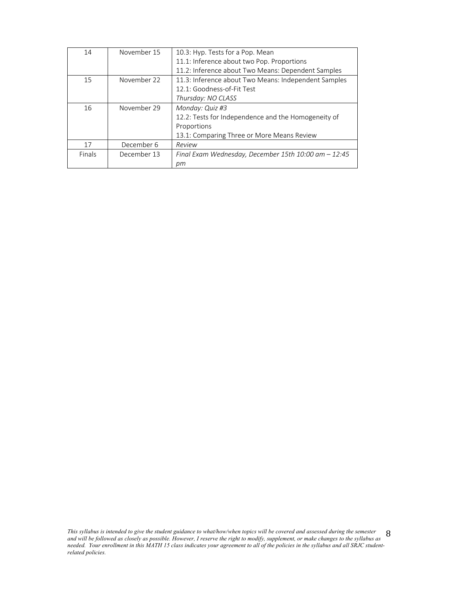| 14     | November 15 | 10.3: Hyp. Tests for a Pop. Mean                     |
|--------|-------------|------------------------------------------------------|
|        |             | 11.1: Inference about two Pop. Proportions           |
|        |             | 11.2: Inference about Two Means: Dependent Samples   |
| 15     | November 22 | 11.3: Inference about Two Means: Independent Samples |
|        |             | 12.1: Goodness-of-Fit Test                           |
|        |             | Thursday: NO CLASS                                   |
| 16     | November 29 | Monday: Quiz #3                                      |
|        |             | 12.2: Tests for Independence and the Homogeneity of  |
|        |             | Proportions                                          |
|        |             | 13.1: Comparing Three or More Means Review           |
| 17     | December 6  | Review                                               |
| Finals | December 13 | Final Exam Wednesday, December 15th 10:00 am - 12:45 |
|        |             | рm                                                   |